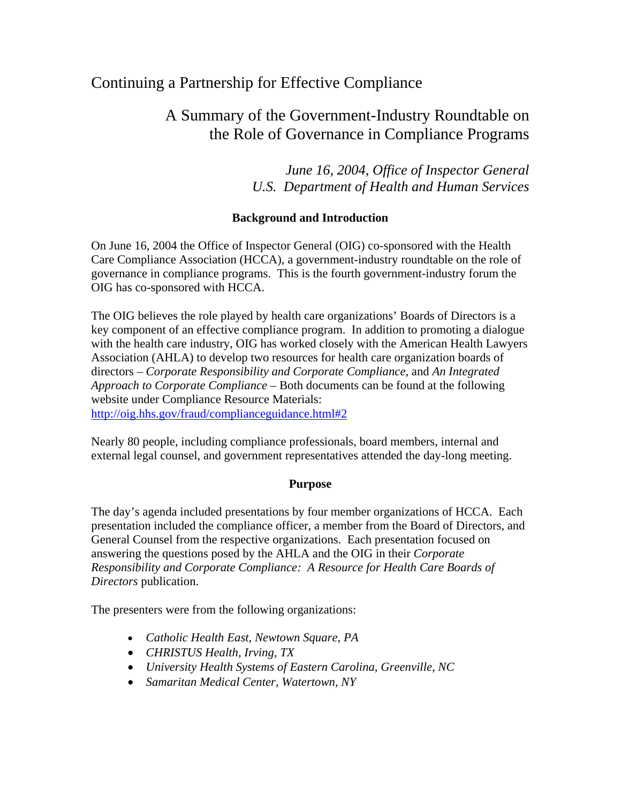# Continuing a Partnership for Effective Compliance

# A Summary of the Government-Industry Roundtable on the Role of Governance in Compliance Programs

*June 16, 2004, Office of Inspector General U.S. Department of Health and Human Services* 

# **Background and Introduction**

On June 16, 2004 the Office of Inspector General (OIG) co-sponsored with the Health Care Compliance Association (HCCA), a government-industry roundtable on the role of governance in compliance programs. This is the fourth government-industry forum the OIG has co-sponsored with HCCA.

The OIG believes the role played by health care organizations' Boards of Directors is a key component of an effective compliance program. In addition to promoting a dialogue with the health care industry, OIG has worked closely with the American Health Lawyers Association (AHLA) to develop two resources for health care organization boards of directors – *Corporate Responsibility and Corporate Compliance*, and *An Integrated Approach to Corporate Compliance* – Both documents can be found at the following website under Compliance Resource Materials: [http://oig.hhs.gov/fraud/complianceguidance.html#2](http://oig.hhs.gov/fraud/complianceguidance.html)

Nearly 80 people, including compliance professionals, board members, internal and external legal counsel, and government representatives attended the day-long meeting.

# **Purpose**

The day's agenda included presentations by four member organizations of HCCA. Each presentation included the compliance officer, a member from the Board of Directors, and General Counsel from the respective organizations. Each presentation focused on answering the questions posed by the AHLA and the OIG in their *Corporate Responsibility and Corporate Compliance: A Resource for Health Care Boards of Directors* publication.

The presenters were from the following organizations:

- *Catholic Health East, Newtown Square, PA*
- *CHRISTUS Health, Irving, TX*
- *University Health Systems of Eastern Carolina, Greenville, NC*
- *Samaritan Medical Center, Watertown, NY*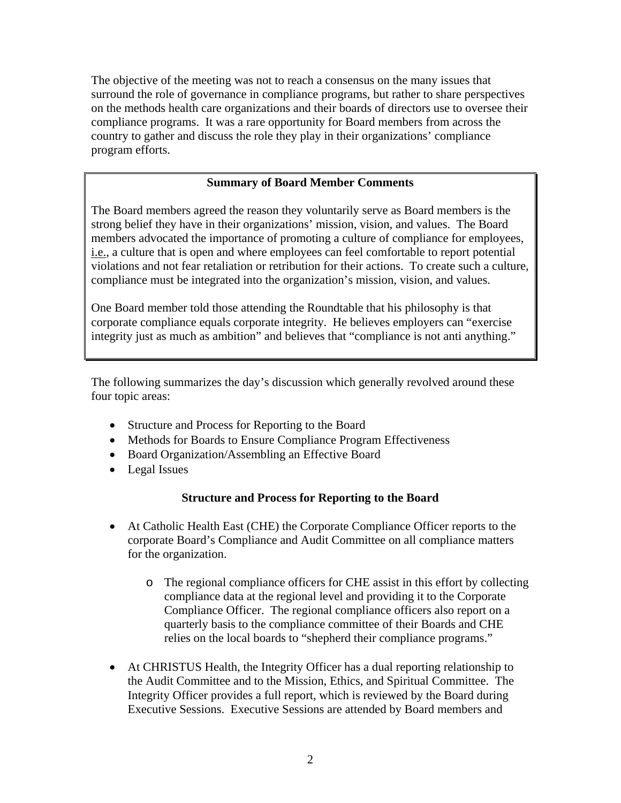The objective of the meeting was not to reach a consensus on the many issues that surround the role of governance in compliance programs, but rather to share perspectives on the methods health care organizations and their boards of directors use to oversee their compliance programs. It was a rare opportunity for Board members from across the country to gather and discuss the role they play in their organizations' compliance program efforts.

### **Summary of Board Member Comments**

The Board members agreed the reason they voluntarily serve as Board members is the strong belief they have in their organizations' mission, vision, and values. The Board members advocated the importance of promoting a culture of compliance for employees, i.e., a culture that is open and where employees can feel comfortable to report potential violations and not fear retaliation or retribution for their actions. To create such a culture, compliance must be integrated into the organization's mission, vision, and values.

One Board member told those attending the Roundtable that his philosophy is that corporate compliance equals corporate integrity. He believes employers can "exercise integrity just as much as ambition" and believes that "compliance is not anti anything."

The following summarizes the day's discussion which generally revolved around these four topic areas:

- Structure and Process for Reporting to the Board
- Methods for Boards to Ensure Compliance Program Effectiveness
- Board Organization/Assembling an Effective Board
- Legal Issues

#### **Structure and Process for Reporting to the Board**

- At Catholic Health East (CHE) the Corporate Compliance Officer reports to the corporate Board's Compliance and Audit Committee on all compliance matters for the organization.
	- o The regional compliance officers for CHE assist in this effort by collecting compliance data at the regional level and providing it to the Corporate Compliance Officer. The regional compliance officers also report on a quarterly basis to the compliance committee of their Boards and CHE relies on the local boards to "shepherd their compliance programs."
- At CHRISTUS Health, the Integrity Officer has a dual reporting relationship to the Audit Committee and to the Mission, Ethics, and Spiritual Committee. The Integrity Officer provides a full report, which is reviewed by the Board during Executive Sessions. Executive Sessions are attended by Board members and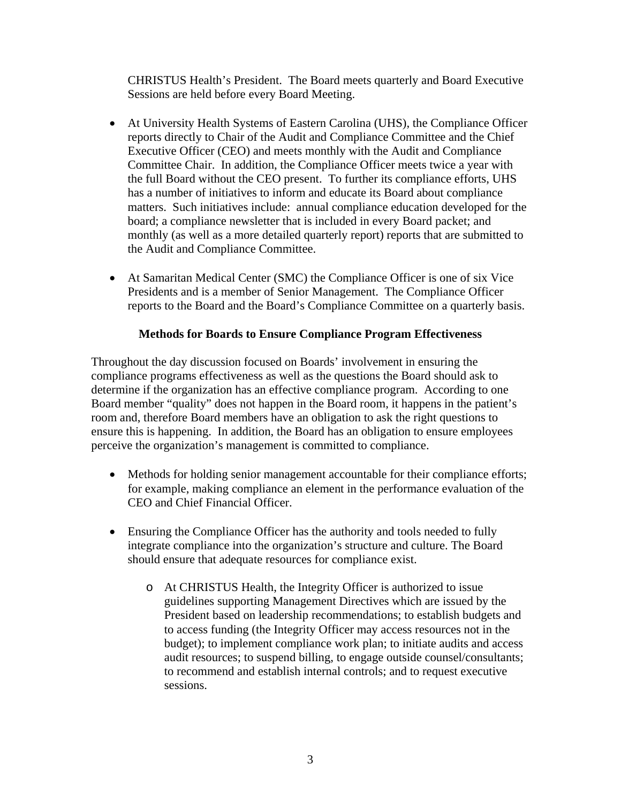CHRISTUS Health's President. The Board meets quarterly and Board Executive Sessions are held before every Board Meeting.

- At University Health Systems of Eastern Carolina (UHS), the Compliance Officer reports directly to Chair of the Audit and Compliance Committee and the Chief Executive Officer (CEO) and meets monthly with the Audit and Compliance Committee Chair. In addition, the Compliance Officer meets twice a year with the full Board without the CEO present. To further its compliance efforts, UHS has a number of initiatives to inform and educate its Board about compliance matters. Such initiatives include: annual compliance education developed for the board; a compliance newsletter that is included in every Board packet; and monthly (as well as a more detailed quarterly report) reports that are submitted to the Audit and Compliance Committee.
- At Samaritan Medical Center (SMC) the Compliance Officer is one of six Vice Presidents and is a member of Senior Management. The Compliance Officer reports to the Board and the Board's Compliance Committee on a quarterly basis.

## **Methods for Boards to Ensure Compliance Program Effectiveness**

Throughout the day discussion focused on Boards' involvement in ensuring the compliance programs effectiveness as well as the questions the Board should ask to determine if the organization has an effective compliance program. According to one Board member "quality" does not happen in the Board room, it happens in the patient's room and, therefore Board members have an obligation to ask the right questions to ensure this is happening. In addition, the Board has an obligation to ensure employees perceive the organization's management is committed to compliance.

- Methods for holding senior management accountable for their compliance efforts; for example, making compliance an element in the performance evaluation of the CEO and Chief Financial Officer.
- Ensuring the Compliance Officer has the authority and tools needed to fully integrate compliance into the organization's structure and culture. The Board should ensure that adequate resources for compliance exist.
	- o At CHRISTUS Health, the Integrity Officer is authorized to issue guidelines supporting Management Directives which are issued by the President based on leadership recommendations; to establish budgets and to access funding (the Integrity Officer may access resources not in the budget); to implement compliance work plan; to initiate audits and access audit resources; to suspend billing, to engage outside counsel/consultants; to recommend and establish internal controls; and to request executive sessions.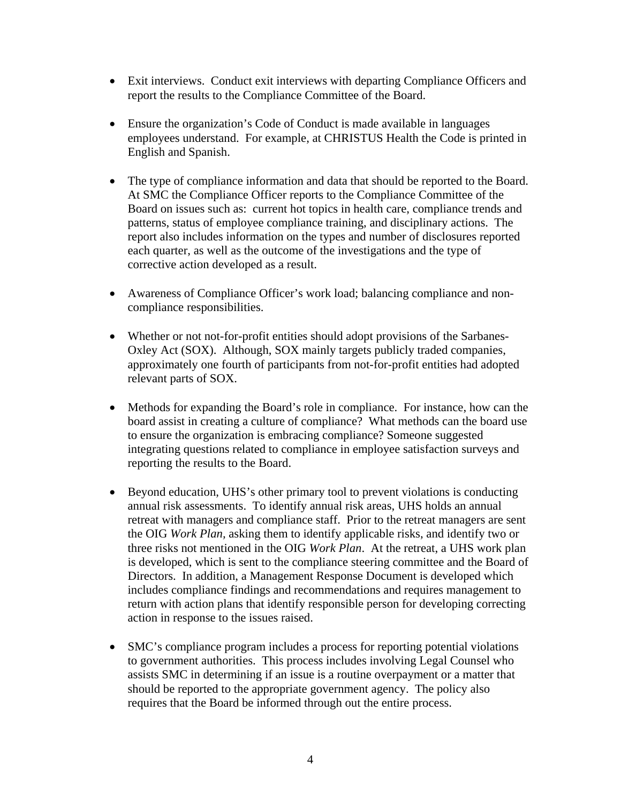- Exit interviews. Conduct exit interviews with departing Compliance Officers and report the results to the Compliance Committee of the Board.
- Ensure the organization's Code of Conduct is made available in languages employees understand. For example, at CHRISTUS Health the Code is printed in English and Spanish.
- The type of compliance information and data that should be reported to the Board. At SMC the Compliance Officer reports to the Compliance Committee of the Board on issues such as: current hot topics in health care, compliance trends and patterns, status of employee compliance training, and disciplinary actions. The report also includes information on the types and number of disclosures reported each quarter, as well as the outcome of the investigations and the type of corrective action developed as a result.
- Awareness of Compliance Officer's work load; balancing compliance and noncompliance responsibilities.
- Whether or not not-for-profit entities should adopt provisions of the Sarbanes-Oxley Act (SOX). Although, SOX mainly targets publicly traded companies, approximately one fourth of participants from not-for-profit entities had adopted relevant parts of SOX.
- Methods for expanding the Board's role in compliance. For instance, how can the board assist in creating a culture of compliance? What methods can the board use to ensure the organization is embracing compliance? Someone suggested integrating questions related to compliance in employee satisfaction surveys and reporting the results to the Board.
- Beyond education, UHS's other primary tool to prevent violations is conducting annual risk assessments. To identify annual risk areas, UHS holds an annual retreat with managers and compliance staff. Prior to the retreat managers are sent the OIG *Work Plan,* asking them to identify applicable risks, and identify two or three risks not mentioned in the OIG *Work Plan*. At the retreat, a UHS work plan is developed, which is sent to the compliance steering committee and the Board of Directors. In addition, a Management Response Document is developed which includes compliance findings and recommendations and requires management to return with action plans that identify responsible person for developing correcting action in response to the issues raised.
- SMC's compliance program includes a process for reporting potential violations to government authorities. This process includes involving Legal Counsel who assists SMC in determining if an issue is a routine overpayment or a matter that should be reported to the appropriate government agency. The policy also requires that the Board be informed through out the entire process.